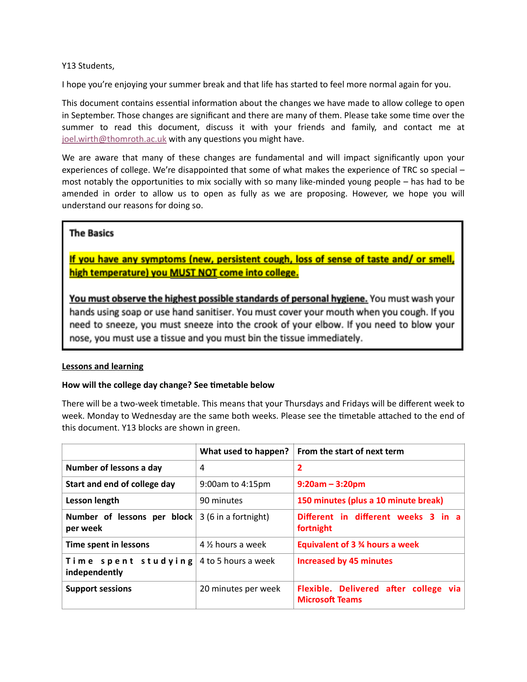# Y13 Students,

I hope you're enjoying your summer break and that life has started to feel more normal again for you.

This document contains essential information about the changes we have made to allow college to open in September. Those changes are significant and there are many of them. Please take some time over the summer to read this document, discuss it with your friends and family, and contact me at [joel.wirth@thomroth.ac.uk](mailto:joel.wirth@thomroth.ac.uk) with any questions you might have.

We are aware that many of these changes are fundamental and will impact significantly upon your experiences of college. We're disappointed that some of what makes the experience of TRC so special – most notably the opportunities to mix socially with so many like-minded young people  $-$  has had to be amended in order to allow us to open as fully as we are proposing. However, we hope you will understand our reasons for doing so.

# **The Basics**

If you have any symptoms (new, persistent cough, loss of sense of taste and/ or smell, high temperature) you MUST NOT come into college.

You must observe the highest possible standards of personal hygiene. You must wash your hands using soap or use hand sanitiser. You must cover your mouth when you cough. If you need to sneeze, you must sneeze into the crook of your elbow. If you need to blow your nose, you must use a tissue and you must bin the tissue immediately.

# **Lessons and learning**

# How will the college day change? See timetable below

There will be a two-week timetable. This means that your Thursdays and Fridays will be different week to week. Monday to Wednesday are the same both weeks. Please see the timetable attached to the end of this document. Y13 blocks are shown in green.

|                                                                        | What used to happen?   | From the start of next term                                     |  |  |  |  |  |  |  |
|------------------------------------------------------------------------|------------------------|-----------------------------------------------------------------|--|--|--|--|--|--|--|
| Number of lessons a day                                                | 4                      | 2                                                               |  |  |  |  |  |  |  |
| Start and end of college day                                           | $9:00$ am to $4:15$ pm | $9:20am - 3:20pm$                                               |  |  |  |  |  |  |  |
| Lesson length                                                          | 90 minutes             | 150 minutes (plus a 10 minute break)                            |  |  |  |  |  |  |  |
| <b>Number of lessons per block</b> $ 3(6)$ in a fortnight)<br>per week |                        | Different in different weeks 3 in a<br>fortnight                |  |  |  |  |  |  |  |
| Time spent in lessons                                                  | 4 % hours a week       | Equivalent of 3 % hours a week                                  |  |  |  |  |  |  |  |
| Time spent studying<br>independently                                   | 4 to 5 hours a week    | <b>Increased by 45 minutes</b>                                  |  |  |  |  |  |  |  |
| <b>Support sessions</b>                                                | 20 minutes per week    | Flexible. Delivered after college via<br><b>Microsoft Teams</b> |  |  |  |  |  |  |  |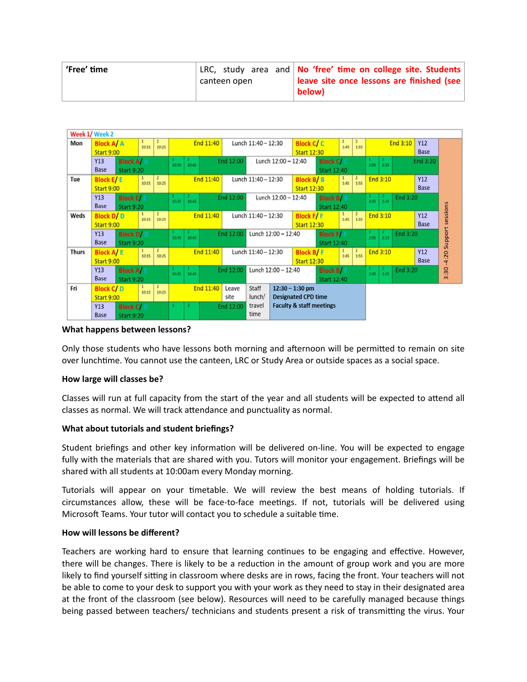| 'Free' time |              | LRC, study area and No 'free' time on college site. Students |
|-------------|--------------|--------------------------------------------------------------|
|             | canteen open | leave site once lessons are finished (see                    |
|             |              | below)                                                       |

|                                                     | Week 1/ Week 2    |                   |            |                         |       |       |                    |                                         |                            |                                     |                    |                    |                          |                                          |      |          |          |            |
|-----------------------------------------------------|-------------------|-------------------|------------|-------------------------|-------|-------|--------------------|-----------------------------------------|----------------------------|-------------------------------------|--------------------|--------------------|--------------------------|------------------------------------------|------|----------|----------|------------|
| Mon                                                 | <b>Block A/ A</b> |                   | 1<br>10:15 | $\overline{2}$<br>10:25 |       |       | End 11:40          |                                         | Lunch 11:40 - 12:30        |                                     | <b>Block C/C</b>   |                    | 1<br>1:45                | $\overline{2}$<br>1:55                   |      |          | End 3:10 | Y12        |
|                                                     | <b>Start 9:00</b> |                   |            |                         |       |       |                    |                                         |                            |                                     | <b>Start 12:30</b> |                    |                          |                                          |      |          |          | Base       |
|                                                     | Y13               | <b>Block A/</b>   |            |                         | 10:35 | 10:45 |                    | End 12:00                               |                            | Lunch 12:00 - 12:40                 |                    | <b>Block C/</b>    |                          |                                          | 2:05 | 2:15     |          | End 3:20   |
| Base<br><b>Start 9:20</b>                           |                   |                   |            |                         |       |       |                    | <b>Start 12:40</b>                      |                            |                                     |                    |                    |                          |                                          |      |          |          |            |
| Tue                                                 | <b>Block E/E</b>  |                   | 10:15      | $\overline{2}$<br>10:25 |       |       | End 11:40          |                                         | Lunch 11:40 - 12:30        |                                     | <b>Block B/B</b>   |                    | 1<br>1:45                | $\begin{array}{c} 2 \\ 1:55 \end{array}$ |      | End 3:10 |          | Y12        |
| <b>Start 9:00</b>                                   |                   |                   |            |                         |       |       |                    |                                         |                            |                                     | <b>Start 12:30</b> |                    |                          |                                          |      |          |          | Base       |
|                                                     | Y13               | <b>Block E</b>    |            |                         | 10:35 | 10:45 |                    | End 12:00                               |                            | Lunch 12:00 - 12:40                 |                    | <b>Block B/I</b>   |                          |                                          | 2:05 | 2:15     | End 3:20 |            |
|                                                     | Base              | <b>Start 9:20</b> |            |                         |       |       |                    |                                         |                            |                                     |                    | <b>Start 12:40</b> |                          |                                          |      |          |          |            |
| Weds                                                | <b>Block D/D</b>  |                   | 10:15      | $\overline{2}$<br>10:25 |       |       | End 11:40          |                                         | Lunch 11:40 - 12:30        |                                     | <b>Block F/F</b>   |                    | 1<br>1:45                | $2$<br>1:55                              |      | End 3:10 |          | Y12        |
|                                                     | <b>Start 9:00</b> |                   |            |                         |       |       | <b>Start 12:30</b> |                                         |                            |                                     |                    | Base               |                          |                                          |      |          |          |            |
| Y13<br><b>Block D/</b><br>Base<br><b>Start 9:20</b> |                   |                   |            | 10:45<br>10:35          |       |       | End 12:00          | Lunch 12:00 - 12:40<br><b>Block F/I</b> |                            |                                     |                    |                    | End 3:20<br>2.15<br>2:05 |                                          |      |          |          |            |
|                                                     |                   |                   |            |                         |       |       |                    |                                         |                            |                                     | <b>Start 12:40</b> |                    |                          |                                          |      |          |          |            |
| <b>Thurs</b>                                        | <b>Block A/E</b>  |                   | 10:15      | $\overline{2}$<br>10:25 |       |       | End 11:40          |                                         | Lunch 11:40 - 12:30        |                                     | <b>Block B/F</b>   |                    | 1:45                     | $\begin{array}{c} 2 \\ 1:55 \end{array}$ |      | End 3:10 |          | <b>Y12</b> |
| <b>Start 9:00</b>                                   |                   |                   |            |                         |       |       |                    |                                         |                            | <b>Start 12:30</b>                  |                    |                    |                          |                                          |      |          | Base     |            |
|                                                     | Y13               | <b>Block A/</b>   |            |                         | 10-35 | 10:45 |                    | End 12:00                               |                            | Lunch 12:00 - 12:40                 |                    | <b>Block B/I</b>   |                          |                                          | 2:05 | 2:15     | End 3:20 |            |
|                                                     | Base              | <b>Start 9:20</b> |            |                         |       |       |                    |                                         |                            | <b>Start 12:40</b>                  |                    |                    |                          |                                          |      |          |          |            |
| Fri                                                 | <b>Block C/D</b>  |                   | 10:15      | $\overline{2}$<br>10:25 |       |       | End 11:40          | Leave                                   | Staff                      |                                     | $12:30 - 1:30$ pm  |                    |                          |                                          |      |          |          |            |
|                                                     | <b>Start 9:00</b> |                   |            |                         |       |       | site               | lunch/                                  | <b>Designated CPD time</b> |                                     |                    |                    |                          |                                          |      |          |          |            |
|                                                     | Y13               | <b>Block C/</b>   |            |                         |       |       |                    | End 12:00                               | travel                     | <b>Faculty &amp; staff meetings</b> |                    |                    |                          |                                          |      |          |          |            |
|                                                     | Base              | <b>Start 9:20</b> |            |                         |       |       |                    |                                         | time                       |                                     |                    |                    |                          |                                          |      |          |          |            |

#### **What happens between lessons?**

Only those students who have lessons both morning and afternoon will be permitted to remain on site over lunchtime. You cannot use the canteen, LRC or Study Area or outside spaces as a social space.

# **How large will classes be?**

Classes will run at full capacity from the start of the year and all students will be expected to attend all classes as normal. We will track attendance and punctuality as normal.

# **What about tutorials and student briefings?**

Student briefings and other key information will be delivered on-line. You will be expected to engage fully with the materials that are shared with you. Tutors will monitor your engagement. Briefings will be shared with all students at 10:00am every Monday morning.

Tutorials will appear on your timetable. We will review the best means of holding tutorials. If circumstances allow, these will be face-to-face meetings. If not, tutorials will be delivered using Microsoft Teams. Your tutor will contact you to schedule a suitable time.

### **How will lessons be different?**

Teachers are working hard to ensure that learning continues to be engaging and effective. However, there will be changes. There is likely to be a reduction in the amount of group work and you are more likely to find yourself sitting in classroom where desks are in rows, facing the front. Your teachers will not be able to come to your desk to support you with your work as they need to stay in their designated area at the front of the classroom (see below). Resources will need to be carefully managed because things being passed between teachers/ technicians and students present a risk of transmitting the virus. Your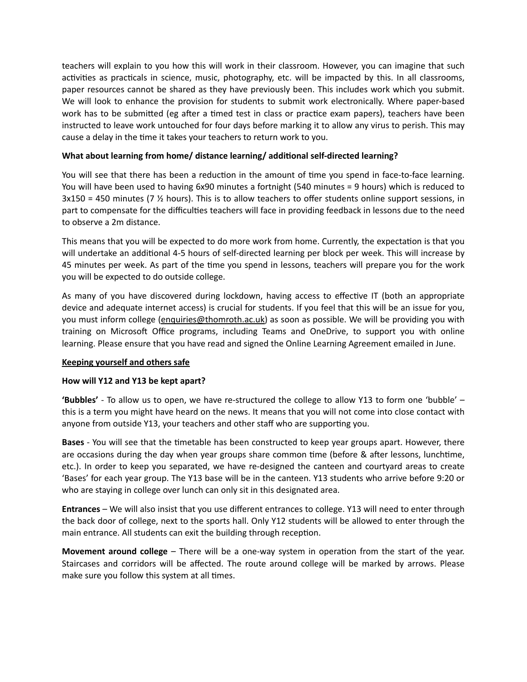teachers will explain to you how this will work in their classroom. However, you can imagine that such activities as practicals in science, music, photography, etc. will be impacted by this. In all classrooms, paper resources cannot be shared as they have previously been. This includes work which you submit. We will look to enhance the provision for students to submit work electronically. Where paper-based work has to be submitted (eg after a timed test in class or practice exam papers), teachers have been instructed to leave work untouched for four days before marking it to allow any virus to perish. This may cause a delay in the time it takes your teachers to return work to you.

# What about learning from home/ distance learning/ additional self-directed learning?

You will see that there has been a reduction in the amount of time you spend in face-to-face learning. You will have been used to having 6x90 minutes a fortnight (540 minutes = 9 hours) which is reduced to  $3x150 = 450$  minutes (7  $\frac{1}{2}$  hours). This is to allow teachers to offer students online support sessions, in part to compensate for the difficulties teachers will face in providing feedback in lessons due to the need to observe a 2m distance.

This means that you will be expected to do more work from home. Currently, the expectation is that you will undertake an additional 4-5 hours of self-directed learning per block per week. This will increase by 45 minutes per week. As part of the time you spend in lessons, teachers will prepare you for the work you will be expected to do outside college.

As many of you have discovered during lockdown, having access to effective IT (both an appropriate device and adequate internet access) is crucial for students. If you feel that this will be an issue for you, you must inform college [\(enquiries@thomroth.ac.uk\)](mailto:enquiries@thomroth.ac.uk) as soon as possible. We will be providing you with training on Microsoft Office programs, including Teams and OneDrive, to support you with online learning. Please ensure that you have read and signed the Online Learning Agreement emailed in June.

# **Keeping yourself and others safe**

# **How will Y12 and Y13 be kept apart?**

**'Bubbles'** - To allow us to open, we have re-structured the college to allow Y13 to form one 'bubble' – this is a term you might have heard on the news. It means that you will not come into close contact with anyone from outside Y13, your teachers and other staff who are supporting you.

**Bases** - You will see that the timetable has been constructed to keep year groups apart. However, there are occasions during the day when year groups share common time (before & after lessons, lunchtime, etc.). In order to keep you separated, we have re-designed the canteen and courtyard areas to create 'Bases' for each year group. The Y13 base will be in the canteen. Y13 students who arrive before 9:20 or who are staying in college over lunch can only sit in this designated area.

**Entrances** – We will also insist that you use different entrances to college. Y13 will need to enter through the back door of college, next to the sports hall. Only Y12 students will be allowed to enter through the main entrance. All students can exit the building through reception.

**Movement around college** – There will be a one-way system in operation from the start of the year. Staircases and corridors will be affected. The route around college will be marked by arrows. Please make sure you follow this system at all times.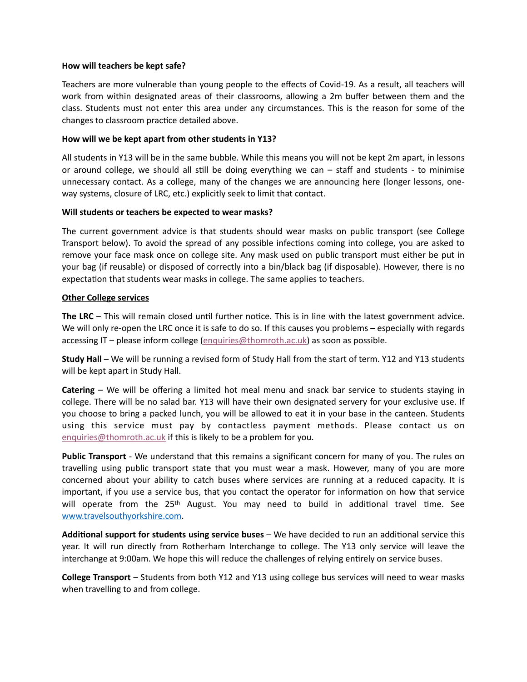### **How will teachers be kept safe?**

Teachers are more vulnerable than young people to the effects of Covid-19. As a result, all teachers will work from within designated areas of their classrooms, allowing a 2m buffer between them and the class. Students must not enter this area under any circumstances. This is the reason for some of the changes to classroom practice detailed above.

### **How will we be kept apart from other students in Y13?**

All students in Y13 will be in the same bubble. While this means you will not be kept 2m apart, in lessons or around college, we should all still be doing everything we can  $-$  staff and students - to minimise unnecessary contact. As a college, many of the changes we are announcing here (longer lessons, oneway systems, closure of LRC, etc.) explicitly seek to limit that contact.

### **Will students or teachers be expected to wear masks?**

The current government advice is that students should wear masks on public transport (see College Transport below). To avoid the spread of any possible infections coming into college, you are asked to remove your face mask once on college site. Any mask used on public transport must either be put in your bag (if reusable) or disposed of correctly into a bin/black bag (if disposable). However, there is no expectation that students wear masks in college. The same applies to teachers.

### **Other College services**

The LRC – This will remain closed until further notice. This is in line with the latest government advice. We will only re-open the LRC once it is safe to do so. If this causes you problems – especially with regards accessing IT – please inform college [\(enquiries@thomroth.ac.uk\)](mailto:enquiries@thomroth.ac.uk) as soon as possible.

**Study Hall –** We will be running a revised form of Study Hall from the start of term. Y12 and Y13 students will be kept apart in Study Hall.

**Catering** – We will be offering a limited hot meal menu and snack bar service to students staying in college. There will be no salad bar. Y13 will have their own designated servery for your exclusive use. If you choose to bring a packed lunch, you will be allowed to eat it in your base in the canteen. Students using this service must pay by contactless payment methods. Please contact us on [enquiries@thomroth.ac.uk](mailto:enquiries@thomroth.ac.uk) if this is likely to be a problem for you.

**Public Transport** - We understand that this remains a significant concern for many of you. The rules on travelling using public transport state that you must wear a mask. However, many of you are more concerned about your ability to catch buses where services are running at a reduced capacity. It is important, if you use a service bus, that you contact the operator for information on how that service will operate from the  $25<sup>th</sup>$  August. You may need to build in additional travel time. See [www.travelsouthyorkshire.com.](http://www.travelsouthyorkshire.com)

Additional support for students using service buses – We have decided to run an additional service this year. It will run directly from Rotherham Interchange to college. The Y13 only service will leave the interchange at 9:00am. We hope this will reduce the challenges of relying entirely on service buses.

**College Transport** – Students from both Y12 and Y13 using college bus services will need to wear masks when travelling to and from college.